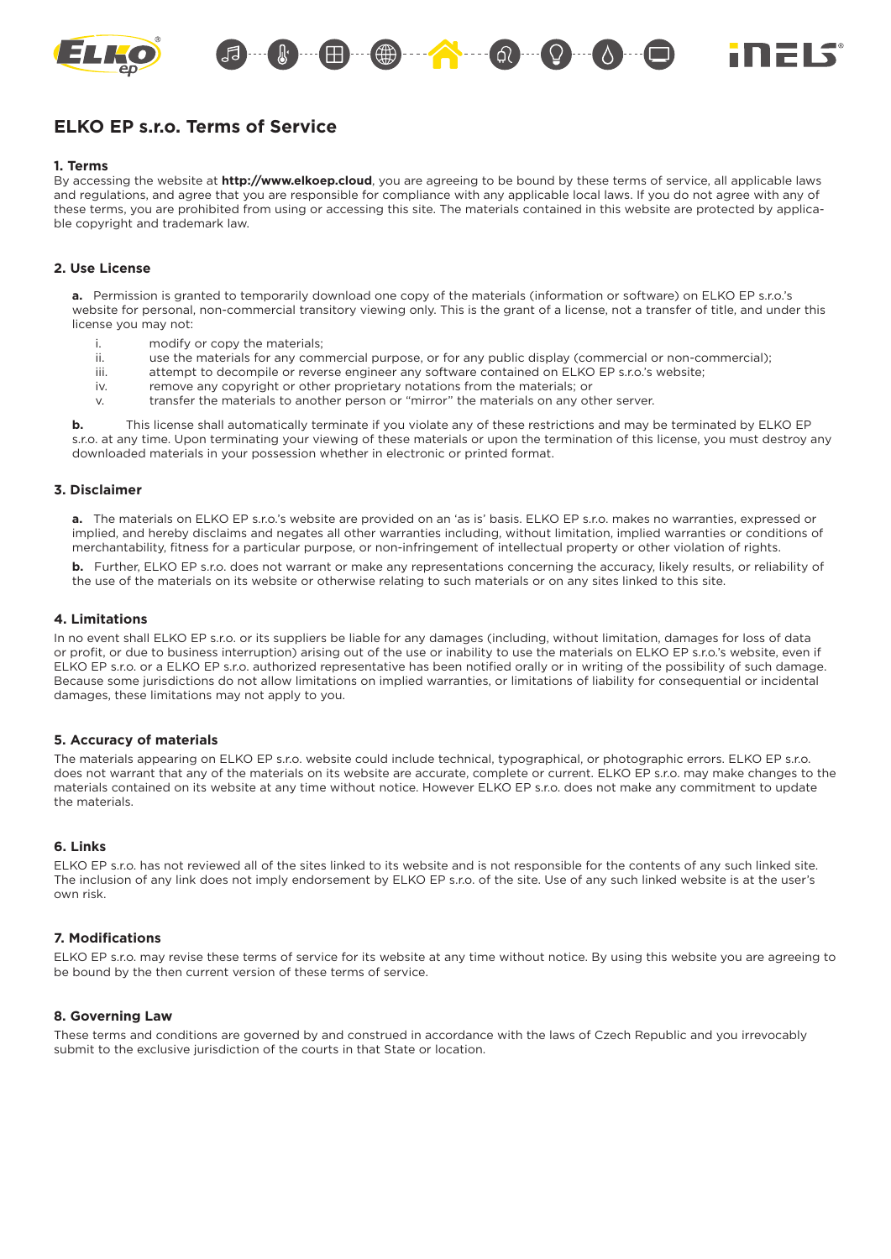

# **ELKO EP s.r.o. Terms of Service**

#### **1. Terms**

By accessing the website at **http://www.elkoep.cloud**, you are agreeing to be bound by these terms of service, all applicable laws and regulations, and agree that you are responsible for compliance with any applicable local laws. If you do not agree with any of these terms, you are prohibited from using or accessing this site. The materials contained in this website are protected by applicable copyright and trademark law.

## **2. Use License**

**a.** Permission is granted to temporarily download one copy of the materials (information or software) on ELKO EP s.r.o.'s website for personal, non-commercial transitory viewing only. This is the grant of a license, not a transfer of title, and under this license you may not:

- i. modify or copy the materials;
- ii. use the materials for any commercial purpose, or for any public display (commercial or non-commercial);
- iii. attempt to decompile or reverse engineer any software contained on ELKO EP s.r.o.'s website;
- iv. remove any copyright or other proprietary notations from the materials; or
- v. transfer the materials to another person or "mirror" the materials on any other server.

**b.** This license shall automatically terminate if you violate any of these restrictions and may be terminated by ELKO EP s.r.o. at any time. Upon terminating your viewing of these materials or upon the termination of this license, you must destroy any downloaded materials in your possession whether in electronic or printed format.

#### **3. Disclaimer**

**a.** The materials on ELKO EP s.r.o.'s website are provided on an 'as is' basis. ELKO EP s.r.o. makes no warranties, expressed or implied, and hereby disclaims and negates all other warranties including, without limitation, implied warranties or conditions of merchantability, fitness for a particular purpose, or non-infringement of intellectual property or other violation of rights.

**b.** Further, ELKO EP s.r.o. does not warrant or make any representations concerning the accuracy, likely results, or reliability of the use of the materials on its website or otherwise relating to such materials or on any sites linked to this site.

## **4. Limitations**

In no event shall ELKO EP s.r.o. or its suppliers be liable for any damages (including, without limitation, damages for loss of data or profit, or due to business interruption) arising out of the use or inability to use the materials on ELKO EP s.r.o.'s website, even if ELKO EP s.r.o. or a ELKO EP s.r.o. authorized representative has been notified orally or in writing of the possibility of such damage. Because some jurisdictions do not allow limitations on implied warranties, or limitations of liability for consequential or incidental damages, these limitations may not apply to you.

## **5. Accuracy of materials**

The materials appearing on ELKO EP s.r.o. website could include technical, typographical, or photographic errors. ELKO EP s.r.o. does not warrant that any of the materials on its website are accurate, complete or current. ELKO EP s.r.o. may make changes to the materials contained on its website at any time without notice. However ELKO EP s.r.o. does not make any commitment to update the materials.

#### **6. Links**

ELKO EP s.r.o. has not reviewed all of the sites linked to its website and is not responsible for the contents of any such linked site. The inclusion of any link does not imply endorsement by ELKO EP s.r.o. of the site. Use of any such linked website is at the user's own risk.

## **7. Modifi cations**

ELKO EP s.r.o. may revise these terms of service for its website at any time without notice. By using this website you are agreeing to be bound by the then current version of these terms of service.

#### **8. Governing Law**

These terms and conditions are governed by and construed in accordance with the laws of Czech Republic and you irrevocably submit to the exclusive jurisdiction of the courts in that State or location.